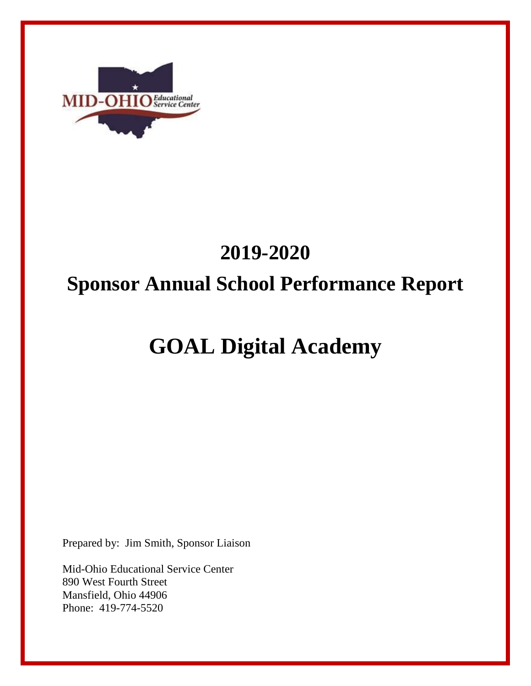

# **2019-2020 Sponsor Annual School Performance Report**

# **GOAL Digital Academy**

Prepared by: Jim Smith, Sponsor Liaison

Mid-Ohio Educational Service Center 890 West Fourth Street Mansfield, Ohio 44906 Phone: 419-774-5520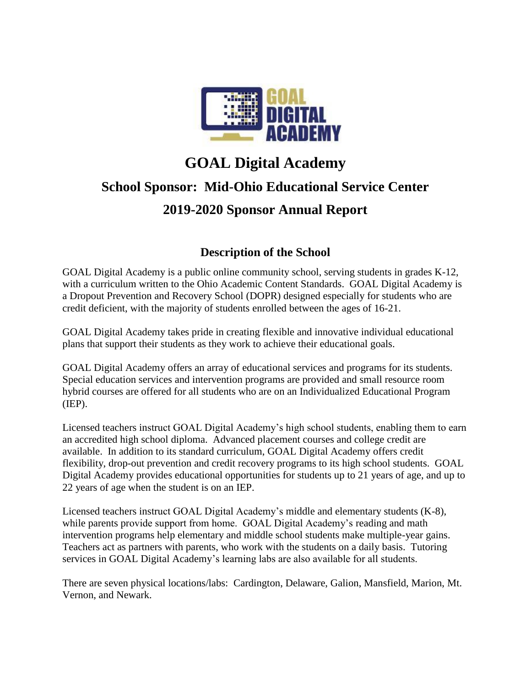

### **GOAL Digital Academy School Sponsor: Mid-Ohio Educational Service Center 2019-2020 Sponsor Annual Report**

### **Description of the School**

GOAL Digital Academy is a public online community school, serving students in grades K-12, with a curriculum written to the Ohio Academic Content Standards. GOAL Digital Academy is a Dropout Prevention and Recovery School (DOPR) designed especially for students who are credit deficient, with the majority of students enrolled between the ages of 16-21.

GOAL Digital Academy takes pride in creating flexible and innovative individual educational plans that support their students as they work to achieve their educational goals.

GOAL Digital Academy offers an array of educational services and programs for its students. Special education services and intervention programs are provided and small resource room hybrid courses are offered for all students who are on an Individualized Educational Program (IEP).

Licensed teachers instruct GOAL Digital Academy's high school students, enabling them to earn an accredited high school diploma. Advanced placement courses and college credit are available. In addition to its standard curriculum, GOAL Digital Academy offers credit flexibility, drop-out prevention and credit recovery programs to its high school students. GOAL Digital Academy provides educational opportunities for students up to 21 years of age, and up to 22 years of age when the student is on an IEP.

Licensed teachers instruct GOAL Digital Academy's middle and elementary students (K-8), while parents provide support from home. GOAL Digital Academy's reading and math intervention programs help elementary and middle school students make multiple-year gains. Teachers act as partners with parents, who work with the students on a daily basis. Tutoring services in GOAL Digital Academy's learning labs are also available for all students.

There are seven physical locations/labs: Cardington, Delaware, Galion, Mansfield, Marion, Mt. Vernon, and Newark.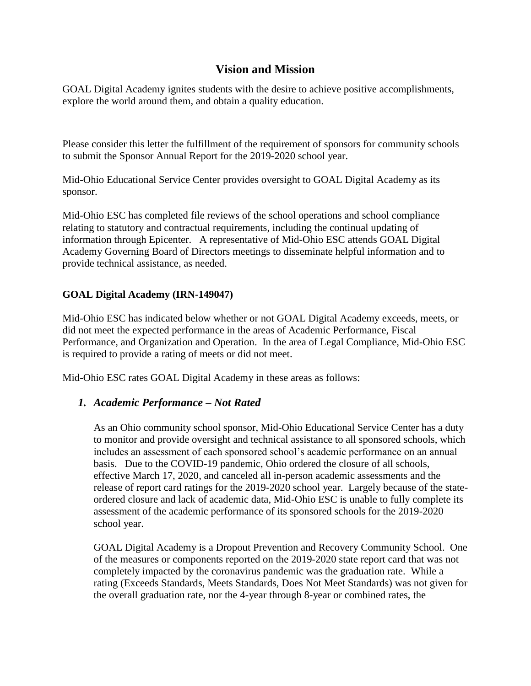#### **Vision and Mission**

GOAL Digital Academy ignites students with the desire to achieve positive accomplishments, explore the world around them, and obtain a quality education.

Please consider this letter the fulfillment of the requirement of sponsors for community schools to submit the Sponsor Annual Report for the 2019-2020 school year.

Mid-Ohio Educational Service Center provides oversight to GOAL Digital Academy as its sponsor.

Mid-Ohio ESC has completed file reviews of the school operations and school compliance relating to statutory and contractual requirements, including the continual updating of information through Epicenter. A representative of Mid-Ohio ESC attends GOAL Digital Academy Governing Board of Directors meetings to disseminate helpful information and to provide technical assistance, as needed.

#### **GOAL Digital Academy (IRN-149047)**

Mid-Ohio ESC has indicated below whether or not GOAL Digital Academy exceeds, meets, or did not meet the expected performance in the areas of Academic Performance, Fiscal Performance, and Organization and Operation. In the area of Legal Compliance, Mid-Ohio ESC is required to provide a rating of meets or did not meet.

Mid-Ohio ESC rates GOAL Digital Academy in these areas as follows:

#### *1. Academic Performance – Not Rated*

As an Ohio community school sponsor, Mid-Ohio Educational Service Center has a duty to monitor and provide oversight and technical assistance to all sponsored schools, which includes an assessment of each sponsored school's academic performance on an annual basis. Due to the COVID-19 pandemic, Ohio ordered the closure of all schools, effective March 17, 2020, and canceled all in-person academic assessments and the release of report card ratings for the 2019-2020 school year. Largely because of the stateordered closure and lack of academic data, Mid-Ohio ESC is unable to fully complete its assessment of the academic performance of its sponsored schools for the 2019-2020 school year.

GOAL Digital Academy is a Dropout Prevention and Recovery Community School. One of the measures or components reported on the 2019-2020 state report card that was not completely impacted by the coronavirus pandemic was the graduation rate. While a rating (Exceeds Standards, Meets Standards, Does Not Meet Standards) was not given for the overall graduation rate, nor the 4-year through 8-year or combined rates, the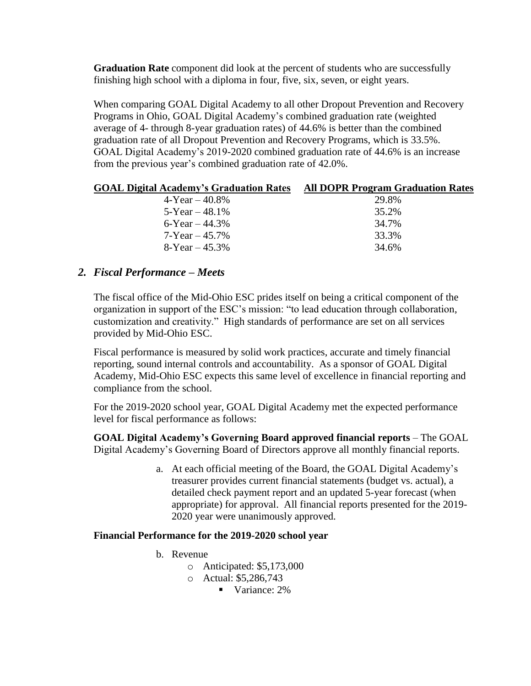**Graduation Rate** component did look at the percent of students who are successfully finishing high school with a diploma in four, five, six, seven, or eight years.

When comparing GOAL Digital Academy to all other Dropout Prevention and Recovery Programs in Ohio, GOAL Digital Academy's combined graduation rate (weighted average of 4- through 8-year graduation rates) of 44.6% is better than the combined graduation rate of all Dropout Prevention and Recovery Programs, which is 33.5%. GOAL Digital Academy's 2019-2020 combined graduation rate of 44.6% is an increase from the previous year's combined graduation rate of 42.0%.

| <b>GOAL Digital Academy's Graduation Rates</b> | <b>All DOPR Program Graduation Rates</b> |
|------------------------------------------------|------------------------------------------|
| $4-Year - 40.8\%$                              | 29.8%                                    |
| $5 - Year - 48.1\%$                            | 35.2%                                    |
| 6-Year $-44.3\%$                               | 34.7%                                    |
| $7 - Year - 45.7\%$                            | 33.3%                                    |
| $8 - Year - 45.3\%$                            | 34.6%                                    |
|                                                |                                          |

#### *2. Fiscal Performance – Meets*

The fiscal office of the Mid-Ohio ESC prides itself on being a critical component of the organization in support of the ESC's mission: "to lead education through collaboration, customization and creativity." High standards of performance are set on all services provided by Mid-Ohio ESC.

Fiscal performance is measured by solid work practices, accurate and timely financial reporting, sound internal controls and accountability. As a sponsor of GOAL Digital Academy, Mid-Ohio ESC expects this same level of excellence in financial reporting and compliance from the school.

For the 2019-2020 school year, GOAL Digital Academy met the expected performance level for fiscal performance as follows:

**GOAL Digital Academy's Governing Board approved financial reports** – The GOAL Digital Academy's Governing Board of Directors approve all monthly financial reports.

> a. At each official meeting of the Board, the GOAL Digital Academy's treasurer provides current financial statements (budget vs. actual), a detailed check payment report and an updated 5-year forecast (when appropriate) for approval. All financial reports presented for the 2019- 2020 year were unanimously approved.

#### **Financial Performance for the 2019-2020 school year**

- b. Revenue
	- o Anticipated: \$5,173,000
	- o Actual: \$5,286,743
		- Variance: 2%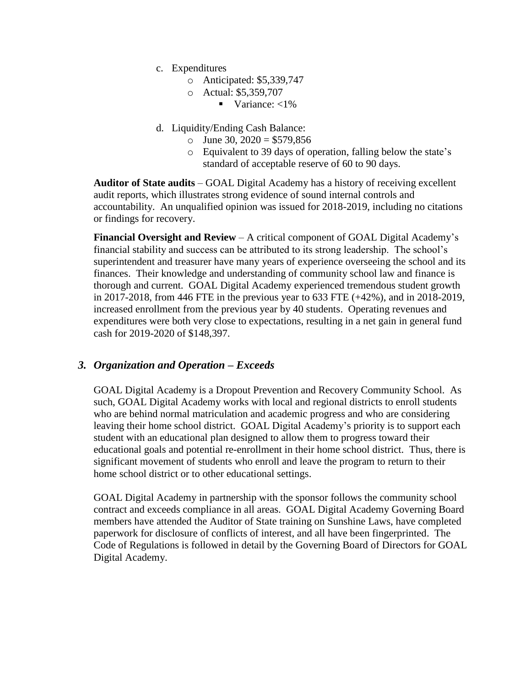- c. Expenditures
	- o Anticipated: \$5,339,747
	- o Actual: \$5,359,707
		- Variance:  $<$ 1%
- d. Liquidity/Ending Cash Balance:
	- o June 30,  $2020 = $579,856$
	- o Equivalent to 39 days of operation, falling below the state's standard of acceptable reserve of 60 to 90 days.

**Auditor of State audits** – GOAL Digital Academy has a history of receiving excellent audit reports, which illustrates strong evidence of sound internal controls and accountability. An unqualified opinion was issued for 2018-2019, including no citations or findings for recovery.

**Financial Oversight and Review** – A critical component of GOAL Digital Academy's financial stability and success can be attributed to its strong leadership. The school's superintendent and treasurer have many years of experience overseeing the school and its finances. Their knowledge and understanding of community school law and finance is thorough and current. GOAL Digital Academy experienced tremendous student growth in 2017-2018, from 446 FTE in the previous year to 633 FTE (+42%), and in 2018-2019, increased enrollment from the previous year by 40 students. Operating revenues and expenditures were both very close to expectations, resulting in a net gain in general fund cash for 2019-2020 of \$148,397.

#### *3. Organization and Operation – Exceeds*

GOAL Digital Academy is a Dropout Prevention and Recovery Community School. As such, GOAL Digital Academy works with local and regional districts to enroll students who are behind normal matriculation and academic progress and who are considering leaving their home school district. GOAL Digital Academy's priority is to support each student with an educational plan designed to allow them to progress toward their educational goals and potential re-enrollment in their home school district. Thus, there is significant movement of students who enroll and leave the program to return to their home school district or to other educational settings.

GOAL Digital Academy in partnership with the sponsor follows the community school contract and exceeds compliance in all areas. GOAL Digital Academy Governing Board members have attended the Auditor of State training on Sunshine Laws, have completed paperwork for disclosure of conflicts of interest, and all have been fingerprinted. The Code of Regulations is followed in detail by the Governing Board of Directors for GOAL Digital Academy.